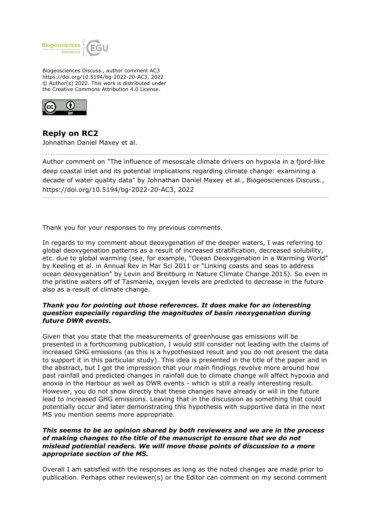

Biogeosciences Discuss., author comment AC3 https://doi.org/10.5194/bg-2022-20-AC3, 2022 © Author(s) 2022. This work is distributed under the Creative Commons Attribution 4.0 License.



**Reply on RC2** Johnathan Daniel Maxey et al.

Author comment on "The influence of mesoscale climate drivers on hypoxia in a fjord-like deep coastal inlet and its potential implications regarding climate change: examining a decade of water quality data" by Johnathan Daniel Maxey et al., Biogeosciences Discuss., https://doi.org/10.5194/bg-2022-20-AC3, 2022

Thank you for your responses to my previous comments.

In regards to my comment about deoxygenation of the deeper waters, I was referring to global deoxygenation patterns as a result of increased stratification, decreased solubility, etc. due to global warming (see, for example, "Ocean Deoxygenation in a Warming World" by Keeling et al. in Annual Rev in Mar Sci 2011 or "Linking coasts and seas to address ocean deoxygenation" by Levin and Breitburg in Nature Climate Change 2015). So even in the pristine waters off of Tasmania, oxygen levels are predicted to decrease in the future also as a result of climate change.

## *Thank you for pointing out those references. It does make for an interesting question especiaily regarding the magnitudes of basin reoxygenation during future DWR events.*

Given that you state that the measurements of greenhouse gas emissions will be presented in a forthcoming publication, I would still consider not leading with the claims of increased GHG emissions (as this is a hypothesized result and you do not present the data to support it in this particular study). This idea is presented in the title of the paper and in the abstract, but I got the impression that your main findings revolve more around how past rainfall and predicted changes in rainfall due to climate change will affect hypoxia and anoxia in the Harbour as well as DWR events - which is still a really interesting result. However, you do not show directly that these changes have already or will in the future lead to increased GHG emissions. Leaving that in the discussion as something that could potentially occur and later demonstrating this hypothesis with supportive data in the next MS you mention seems more appropriate.

## *This seems to be an opinion shared by both reviewers and we are in the process of making changes to the title of the manuscript to ensure that we do not mislead potiential readers. We will move those points of discussion to a more appropriate section of the MS.*

Overall I am satisfied with the responses as long as the noted changes are made prior to publication. Perhaps other reviewer(s) or the Editor can comment on my second comment